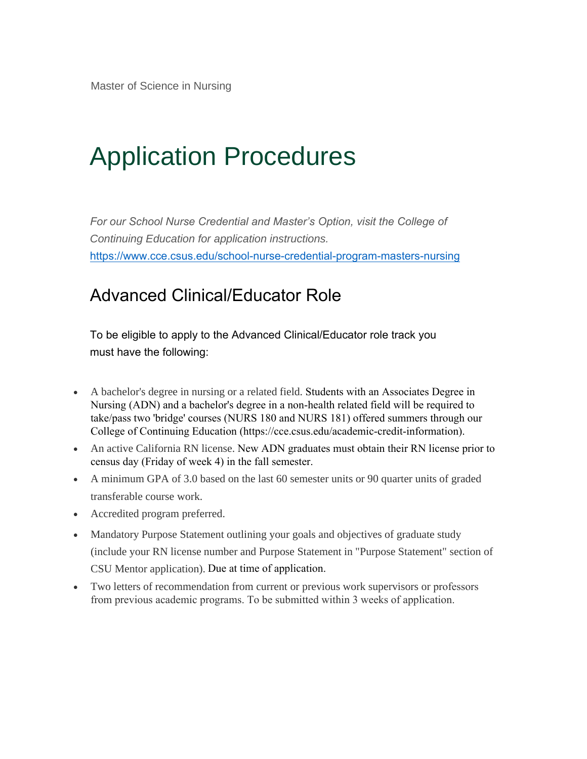# Application Procedures

*For our School Nurse Credential and Master's Option, visit the College of Continuing Education for application instructions.*  https://www.cce.csus.edu/school-nurse-credential-program-masters-nursing

### Advanced Clinical/Educator Role

To be eligible to apply to the Advanced Clinical/Educator role track you must have the following:

- A bachelor's degree in nursing or a related field. Students with an Associates Degree in [Nursing \(ADN\) and a bachelor's degree in a non-health related field will be required](https://www.cce.csus.edu/school-nurse-credential-program-masters-nursing) to take/pass two 'bridge' courses (NURS 180 and NURS 181) offered summers through our College of Continuing Education (https://cce.csus.edu/academic-credit-information).
- An active California RN license. New ADN graduates must obtain their RN license prior to census day (Friday of week 4) in the fall semester.
- A minimum GPA of 3.0 based on the last 60 semester units or 90 quarter units of graded transferable course work.
- Accredited program preferred.
- Mandatory Purpose Statement outlining your goals and objectives of graduate study (include your RN license number and Purpose Statement in "Purpose Statement" section of CSU Mentor application). Due at time of application.
- Two letters of recommendation from current or previous work supervisors or professors from previous academic programs. To be submitted within 3 weeks of application.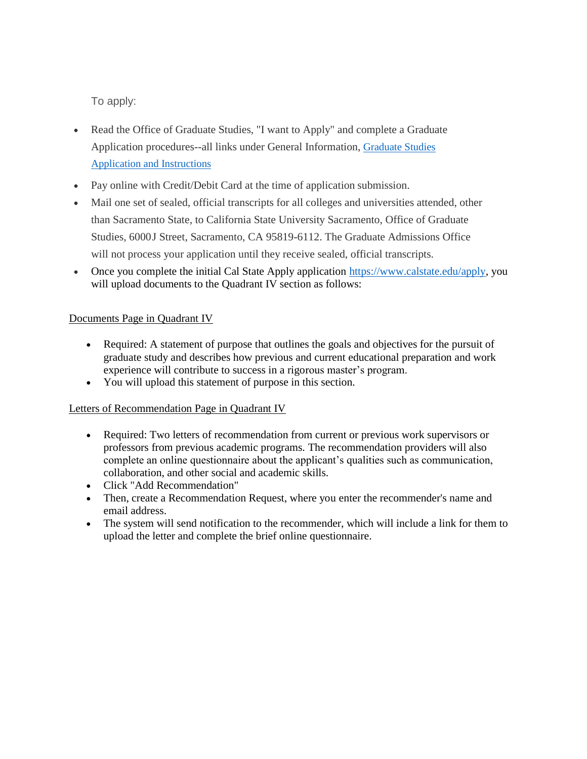To apply:

- Read the Office of Graduate Studies, "I want to Apply" and complete a Graduate Application procedures--all links under General Information, [Graduate Studies](https://www.csus.edu/graduate-studies/future-students/application-information.html) [Application and Instructions](https://www.csus.edu/graduate-studies/future-students/application-information.html)
- Pay online with Credit/Debit Card at the time of application submission.
- Mail one set of sealed, official transcripts for all colleges and universities attended, other than Sacramento State, to California State University Sacramento, Office of Graduate Studies, 6000J Street, Sacramento, CA 95819-6112. The Graduate Admissions Office will not process your application until they receive sealed, official transcripts.
- Once you complete the initial Cal State Apply application [https://www.calstate.edu/apply,](https://www.calstate.edu/apply) you will upload documents to the Quadrant IV section as follows:

#### Documents Page in Quadrant IV

- Required: A statement of purpose that outlines the goals and objectives for the pursuit of graduate study and describes how previous and current educational preparation and work experience will contribute to success in a rigorous master's program.
- You will upload this statement of purpose in this section.

#### Letters of Recommendation Page in Quadrant IV

- Required: Two letters of recommendation from current or previous work supervisors or professors from previous academic programs. The recommendation providers will also complete an online questionnaire about the applicant's qualities such as communication, collaboration, and other social and academic skills.
- Click "Add Recommendation"
- Then, create a Recommendation Request, where you enter the recommender's name and email address.
- The system will send notification to the recommender, which will include a link for them to upload the letter and complete the brief online questionnaire.